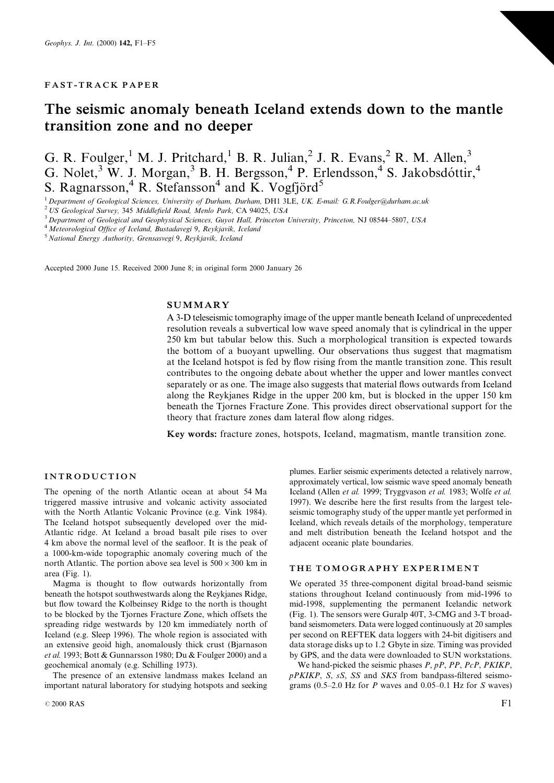## **FAST-TRACK PAPER**

# The seismic anomaly beneath Iceland extends down to the mantle transition zone and no deeper

G. R. Foulger,<sup>1</sup> M. J. Pritchard,<sup>1</sup> B. R. Julian,<sup>2</sup> J. R. Evans,<sup>2</sup> R. M. Allen,<sup>3</sup> G. Nolet,<sup>3</sup> W. J. Morgan,<sup>3</sup> B. H. Bergsson,<sup>4</sup> P. Erlendsson,<sup>4</sup> S. Jakobsdóttir,<sup>4</sup><br>S. Ragnarsson,<sup>4</sup> R. Stefansson<sup>4</sup> and K. Vogfjörd<sup>5</sup>

<sup>1</sup> Department of Geological Sciences, University of Durham, Durham, DH1 3LE, UK, E-mail: G.R.Foulger@durham.ac.uk

<sup>2</sup> US Geological Survey, 345 Middlefield Road, Menlo Park, CA 94025, USA

<sup>3</sup> Department of Geological and Geophysical Sciences, Guvot Hall, Princeton University, Princeton, NJ 08544-5807, USA

<sup>4</sup> Meteorological Office of Iceland, Bustadavegi 9, Reykjavik, Iceland

<sup>5</sup> National Energy Authority, Grensasvegi 9, Reykjavik, Iceland

Accepted 2000 June 15. Received 2000 June 8; in original form 2000 January 26

#### **SUMMARY**

A 3-D teleseismic tomography image of the upper mantle beneath Iceland of unprecedented resolution reveals a subvertical low wave speed anomaly that is cylindrical in the upper 250 km but tabular below this. Such a morphological transition is expected towards the bottom of a buoyant upwelling. Our observations thus suggest that magmatism at the Iceland hotspot is fed by flow rising from the mantle transition zone. This result contributes to the ongoing debate about whether the upper and lower mantles convect separately or as one. The image also suggests that material flows outwards from Iceland along the Reykjanes Ridge in the upper 200 km, but is blocked in the upper 150 km beneath the Tiornes Fracture Zone. This provides direct observational support for the theory that fracture zones dam lateral flow along ridges.

Key words: fracture zones, hotspots, Iceland, magmatism, mantle transition zone.

#### **INTRODUCTION**

The opening of the north Atlantic ocean at about 54 Ma triggered massive intrusive and volcanic activity associated with the North Atlantic Volcanic Province (e.g. Vink 1984). The Iceland hotspot subsequently developed over the mid-Atlantic ridge. At Iceland a broad basalt pile rises to over 4 km above the normal level of the seafloor. It is the peak of a 1000-km-wide topographic anomaly covering much of the north Atlantic. The portion above sea level is  $500 \times 300$  km in area (Fig.  $1$ ).

Magma is thought to flow outwards horizontally from beneath the hotspot southwestwards along the Reykjanes Ridge, but flow toward the Kolbeinsey Ridge to the north is thought to be blocked by the Tjornes Fracture Zone, which offsets the spreading ridge westwards by 120 km immediately north of Iceland (e.g. Sleep 1996). The whole region is associated with an extensive geoid high, anomalously thick crust (Bjarnason et al. 1993; Bott & Gunnarsson 1980; Du & Foulger 2000) and a geochemical anomaly (e.g. Schilling 1973).

The presence of an extensive landmass makes Iceland an important natural laboratory for studying hotspots and seeking

plumes. Earlier seismic experiments detected a relatively narrow, approximately vertical, low seismic wave speed anomaly beneath Iceland (Allen et al. 1999; Tryggvason et al. 1983; Wolfe et al. 1997). We describe here the first results from the largest teleseismic tomography study of the upper mantle yet performed in Iceland, which reveals details of the morphology, temperature and melt distribution beneath the Iceland hotspot and the adjacent oceanic plate boundaries.

#### THE TOMOGRAPHY EXPERIMENT

We operated 35 three-component digital broad-band seismic stations throughout Iceland continuously from mid-1996 to mid-1998, supplementing the permanent Icelandic network (Fig. 1). The sensors were Guralp 40T, 3-CMG and 3-T broadband seismometers. Data were logged continuously at 20 samples per second on REFTEK data loggers with 24-bit digitisers and data storage disks up to 1.2 Gbyte in size. Timing was provided by GPS, and the data were downloaded to SUN workstations.

We hand-picked the seismic phases  $P, pP, PP, PcP, PKIKP$ , pPKIKP, S, sS, SS and SKS from bandpass-filtered seismograms (0.5–2.0 Hz for  $P$  waves and 0.05–0.1 Hz for  $S$  waves)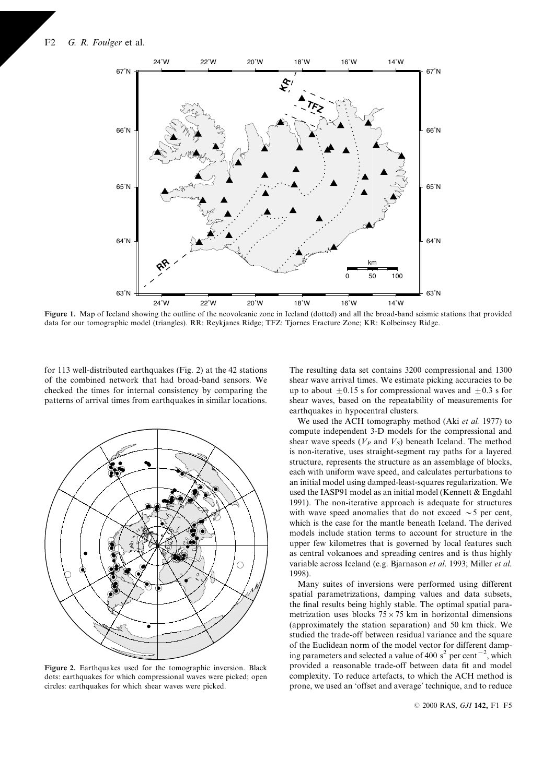

Figure 1. Map of Iceland showing the outline of the neovolcanic zone in Iceland (dotted) and all the broad-band seismic stations that provided data for our tomographic model (triangles). RR: Reykjanes Ridge; TFZ: Tjornes Fracture Zone; KR: Kolbeinsey Ridge.

for 113 well-distributed earthquakes (Fig. 2) at the 42 stations of the combined network that had broad-band sensors. We checked the times for internal consistency by comparing the patterns of arrival times from earthquakes in similar locations.



Figure 2. Earthquakes used for the tomographic inversion. Black dots: earthquakes for which compressional waves were picked; open circles: earthquakes for which shear waves were picked.

The resulting data set contains 3200 compressional and 1300 shear wave arrival times. We estimate picking accuracies to be up to about  $\pm 0.15$  s for compressional waves and  $\pm 0.3$  s for shear waves, based on the repeatability of measurements for earthquakes in hypocentral clusters.

We used the ACH tomography method (Aki et al. 1977) to compute independent 3-D models for the compressional and shear wave speeds  $(V_P \text{ and } V_S)$  beneath Iceland. The method is non-iterative, uses straight-segment ray paths for a layered structure, represents the structure as an assemblage of blocks, each with uniform wave speed, and calculates perturbations to an initial model using damped-least-squares regularization. We used the IASP91 model as an initial model (Kennett & Engdahl 1991). The non-iterative approach is adequate for structures with wave speed anomalies that do not exceed  $\sim$  5 per cent, which is the case for the mantle beneath Iceland. The derived models include station terms to account for structure in the upper few kilometres that is governed by local features such as central volcanoes and spreading centres and is thus highly variable across Iceland (e.g. Bjarnason et al. 1993; Miller et al. 1998).

Many suites of inversions were performed using different spatial parametrizations, damping values and data subsets, the final results being highly stable. The optimal spatial parametrization uses blocks  $75 \times 75$  km in horizontal dimensions (approximately the station separation) and 50 km thick. We studied the trade-off between residual variance and the square of the Euclidean norm of the model vector for different damping parameters and selected a value of 400  $s^2$  per cent<sup>-2</sup>, which provided a reasonable trade-off between data fit and model complexity. To reduce artefacts, to which the ACH method is prone, we used an 'offset and average' technique, and to reduce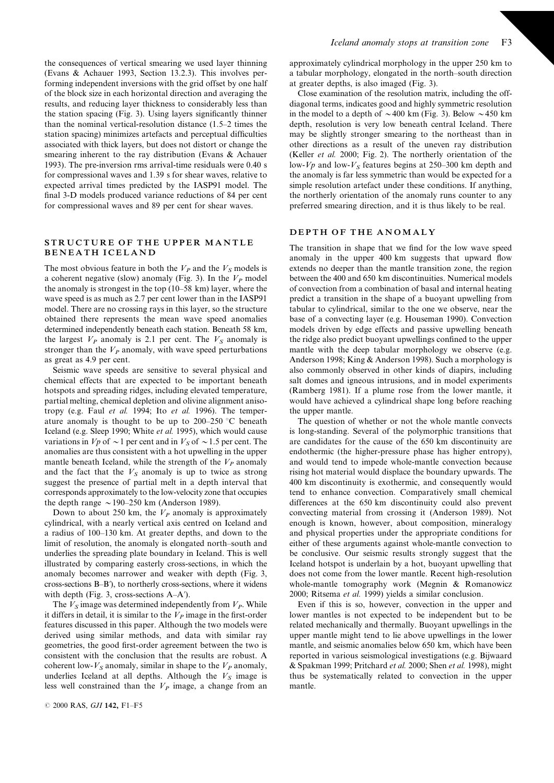the consequences of vertical smearing we used layer thinning (Evans & Achauer 1993, Section 13.2.3). This involves performing independent inversions with the grid offset by one half of the block size in each horizontal direction and averaging the results, and reducing layer thickness to considerably less than the station spacing (Fig. 3). Using layers significantly thinner than the nominal vertical-resolution distance  $(1.5-2)$  times the station spacing) minimizes artefacts and perceptual difficulties associated with thick layers, but does not distort or change the smearing inherent to the ray distribution (Evans & Achauer 1993). The pre-inversion rms arrival-time residuals were 0.40 s for compressional waves and 1.39 s for shear waves, relative to expected arrival times predicted by the IASP91 model. The final 3-D models produced variance reductions of 84 per cent for compressional waves and 89 per cent for shear waves.

## STRUCTURE OF THE UPPER MANTLE **BENEATH ICELAND**

The most obvious feature in both the  $V_p$  and the  $V_s$  models is a coherent negative (slow) anomaly (Fig. 3). In the  $V_P$  model the anomaly is strongest in the top  $(10-58 \text{ km})$  layer, where the wave speed is as much as 2.7 per cent lower than in the IASP91 model. There are no crossing rays in this layer, so the structure obtained there represents the mean wave speed anomalies determined independently beneath each station. Beneath 58 km, the largest  $V_P$  anomaly is 2.1 per cent. The  $V_S$  anomaly is stronger than the  $V_P$  anomaly, with wave speed perturbations as great as 4.9 per cent.

Seismic wave speeds are sensitive to several physical and chemical effects that are expected to be important beneath hotspots and spreading ridges, including elevated temperature, partial melting, chemical depletion and olivine alignment anisotropy (e.g. Faul et al. 1994; Ito et al. 1996). The temperature anomaly is thought to be up to 200-250 °C beneath Iceland (e.g. Sleep 1990; White et al. 1995), which would cause variations in  $Vp$  of  $\sim$  1 per cent and in  $V<sub>S</sub>$  of  $\sim$  1.5 per cent. The anomalies are thus consistent with a hot upwelling in the upper mantle beneath Iceland, while the strength of the  $V_P$  anomaly and the fact that the  $V_s$  anomaly is up to twice as strong suggest the presence of partial melt in a depth interval that corresponds approximately to the low-velocity zone that occupies the depth range  $\sim$  190–250 km (Anderson 1989).

Down to about 250 km, the  $V_P$  anomaly is approximately cylindrical, with a nearly vertical axis centred on Iceland and a radius of 100-130 km. At greater depths, and down to the limit of resolution, the anomaly is elongated north-south and underlies the spreading plate boundary in Iceland. This is well illustrated by comparing easterly cross-sections, in which the anomaly becomes narrower and weaker with depth (Fig. 3, cross-sections B-B'), to northerly cross-sections, where it widens with depth (Fig. 3, cross-sections A-A').

The  $V_S$  image was determined independently from  $V_P$ . While it differs in detail, it is similar to the  $V_P$  image in the first-order features discussed in this paper. Although the two models were derived using similar methods, and data with similar ray geometries, the good first-order agreement between the two is consistent with the conclusion that the results are robust. A coherent low- $V_s$  anomaly, similar in shape to the  $V_p$  anomaly, underlies Iceland at all depths. Although the  $V_s$  image is less well constrained than the  $V_P$  image, a change from an approximately cylindrical morphology in the upper 250 km to a tabular morphology, elongated in the north-south direction at greater depths, is also imaged (Fig. 3).

Close examination of the resolution matrix, including the offdiagonal terms, indicates good and highly symmetric resolution in the model to a depth of  $\sim$ 400 km (Fig. 3). Below  $\sim$ 450 km depth, resolution is very low beneath central Iceland. There may be slightly stronger smearing to the northeast than in other directions as a result of the uneven ray distribution (Keller et al. 2000; Fig. 2). The northerly orientation of the low- $Vp$  and low- $V<sub>S</sub>$  features begins at 250–300 km depth and the anomaly is far less symmetric than would be expected for a simple resolution artefact under these conditions. If anything, the northerly orientation of the anomaly runs counter to any preferred smearing direction, and it is thus likely to be real.

## DEPTH OF THE ANOMALY

The transition in shape that we find for the low wave speed anomaly in the upper 400 km suggests that upward flow extends no deeper than the mantle transition zone, the region between the 400 and 650 km discontinuities. Numerical models of convection from a combination of basal and internal heating predict a transition in the shape of a buoyant upwelling from tabular to cylindrical, similar to the one we observe, near the base of a convecting layer (e.g. Houseman 1990). Convection models driven by edge effects and passive upwelling beneath the ridge also predict buoyant upwellings confined to the upper mantle with the deep tabular morphology we observe (e.g. Anderson 1998; King & Anderson 1998). Such a morphology is also commonly observed in other kinds of diapirs, including salt domes and igneous intrusions, and in model experiments (Ramberg 1981). If a plume rose from the lower mantle, it would have achieved a cylindrical shape long before reaching the upper mantle.

The question of whether or not the whole mantle convects is long-standing. Several of the polymorphic transitions that are candidates for the cause of the 650 km discontinuity are endothermic (the higher-pressure phase has higher entropy), and would tend to impede whole-mantle convection because rising hot material would displace the boundary upwards. The 400 km discontinuity is exothermic, and consequently would tend to enhance convection. Comparatively small chemical differences at the 650 km discontinuity could also prevent convecting material from crossing it (Anderson 1989). Not enough is known, however, about composition, mineralogy and physical properties under the appropriate conditions for either of these arguments against whole-mantle convection to be conclusive. Our seismic results strongly suggest that the Iceland hotspot is underlain by a hot, buoyant upwelling that does not come from the lower mantle. Recent high-resolution whole-mantle tomography work (Megnin & Romanowicz 2000; Ritsema et al. 1999) yields a similar conclusion.

Even if this is so, however, convection in the upper and lower mantles is not expected to be independent but to be related mechanically and thermally. Buoyant upwellings in the upper mantle might tend to lie above upwellings in the lower mantle, and seismic anomalies below 650 km, which have been reported in various seismological investigations (e.g. Bijwaard & Spakman 1999; Pritchard et al. 2000; Shen et al. 1998), might thus be systematically related to convection in the upper mantle.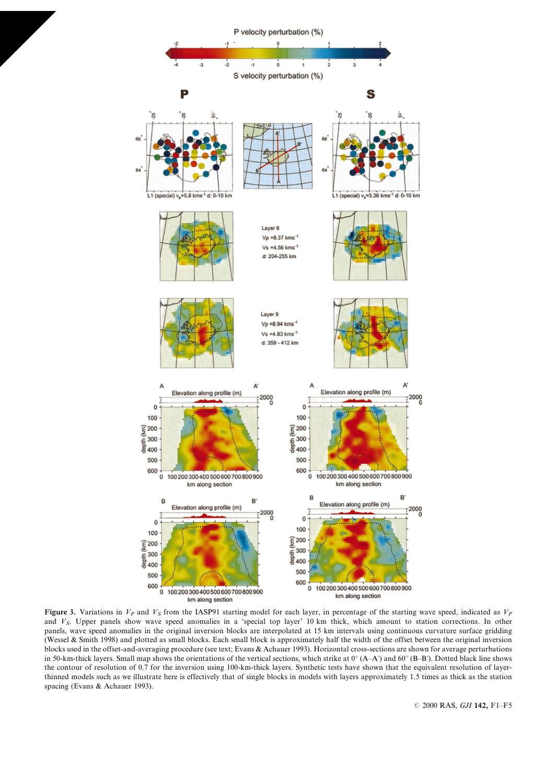

Figure 3. Variations in  $V_p$  and  $V_s$  from the IASP91 starting model for each layer, in percentage of the starting wave speed, indicated as  $V_p$ and  $V_s$ . Upper panels show wave speed anomalies in a 'special top layer' 10 km thick, which amount to station corrections. In other panels, wave speed anomalies in the original inversion blocks are interpolated at 15 km intervals using continuous curvature surface gridding (Wessel & Smith 1998) and plotted as small blocks. Each small block is approximately half the width of the offset between the original inversion blocks used in the offset-and-averaging procedure (see text; Evans & Achauer 1993). Horizontal cross-sections are shown for average perturbations in 50-km-thick layers. Small map shows the orientations of the vertical sections, which strike at  $0^{\circ}$  (A-A') and  $60^{\circ}$  (B-B'). Dotted black line shows the contour of resolution of 0.7 for the inversion using 100-km-thick layers. Synthetic tests have shown that the equivalent resolution of layerthinned models such as we illustrate here is effectively that of single blocks in models with layers approximately 1.5 times as thick as the station spacing (Evans & Achauer 1993).